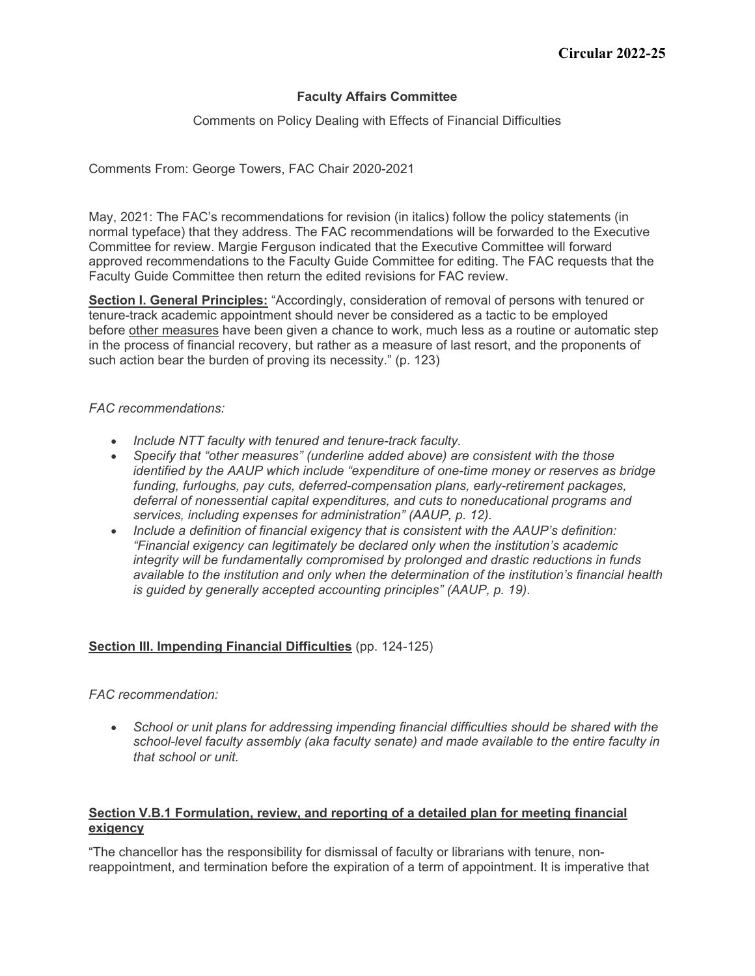### **Faculty Affairs Committee**

Comments on Policy Dealing with Effects of Financial Difficulties

Comments From: George Towers, FAC Chair 2020-2021

May, 2021: The FAC's recommendations for revision (in italics) follow the policy statements (in normal typeface) that they address. The FAC recommendations will be forwarded to the Executive Committee for review. Margie Ferguson indicated that the Executive Committee will forward approved recommendations to the Faculty Guide Committee for editing. The FAC requests that the Faculty Guide Committee then return the edited revisions for FAC review.

**Section I. General Principles:** "Accordingly, consideration of removal of persons with tenured or tenure-track academic appointment should never be considered as a tactic to be employed before other measures have been given a chance to work, much less as a routine or automatic step in the process of financial recovery, but rather as a measure of last resort, and the proponents of such action bear the burden of proving its necessity." (p. 123)

#### *FAC recommendations:*

- *Include NTT faculty with tenured and tenure-track faculty.*
- *Specify that "other measures" (underline added above) are consistent with the those identified by the AAUP which include "expenditure of one-time money or reserves as bridge funding, furloughs, pay cuts, deferred-compensation plans, early-retirement packages, deferral of nonessential capital expenditures, and cuts to noneducational programs and services, including expenses for administration" (AAUP, p. 12).*
- *Include a definition of financial exigency that is consistent with the AAUP's definition: "Financial exigency can legitimately be declared only when the institution's academic integrity will be fundamentally compromised by prolonged and drastic reductions in funds available to the institution and only when the determination of the institution's financial health is guided by generally accepted accounting principles" (AAUP, p. 19)*.

### **Section III. Impending Financial Difficulties** (pp. 124-125)

### *FAC recommendation:*

• *School or unit plans for addressing impending financial difficulties should be shared with the school-level faculty assembly (aka faculty senate) and made available to the entire faculty in that school or unit.*

### **Section V.B.1 Formulation, review, and reporting of a detailed plan for meeting financial exigency**

"The chancellor has the responsibility for dismissal of faculty or librarians with tenure, nonreappointment, and termination before the expiration of a term of appointment. It is imperative that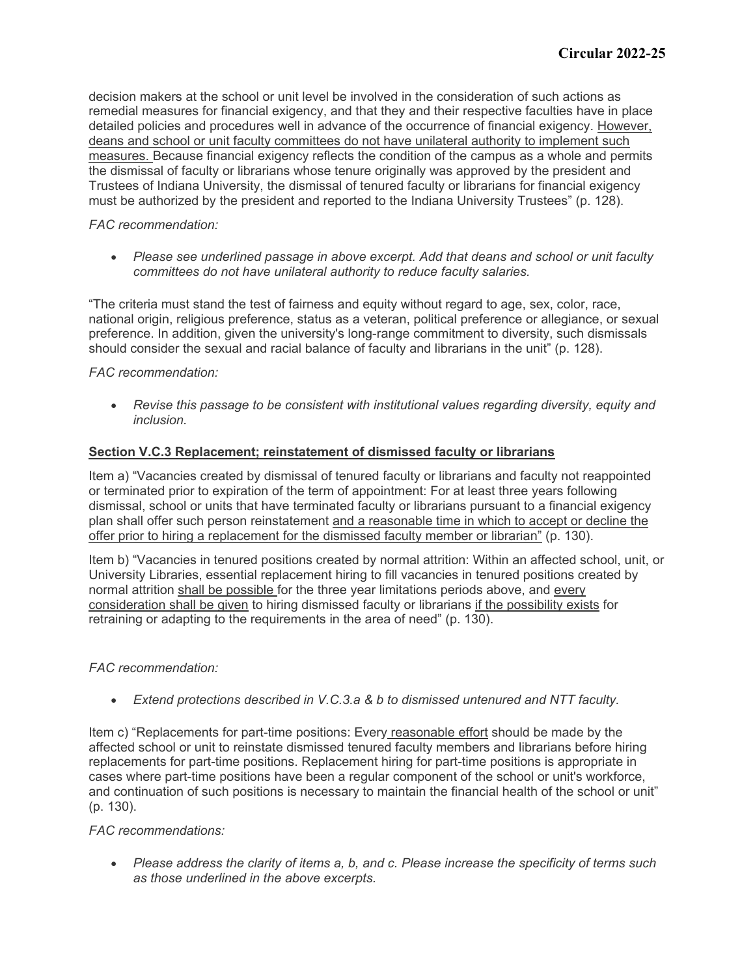decision makers at the school or unit level be involved in the consideration of such actions as remedial measures for financial exigency, and that they and their respective faculties have in place detailed policies and procedures well in advance of the occurrence of financial exigency. However, deans and school or unit faculty committees do not have unilateral authority to implement such measures. Because financial exigency reflects the condition of the campus as a whole and permits the dismissal of faculty or librarians whose tenure originally was approved by the president and Trustees of Indiana University, the dismissal of tenured faculty or librarians for financial exigency must be authorized by the president and reported to the Indiana University Trustees" (p. 128).

### *FAC recommendation:*

• *Please see underlined passage in above excerpt. Add that deans and school or unit faculty committees do not have unilateral authority to reduce faculty salaries.*

"The criteria must stand the test of fairness and equity without regard to age, sex, color, race, national origin, religious preference, status as a veteran, political preference or allegiance, or sexual preference. In addition, given the university's long-range commitment to diversity, such dismissals should consider the sexual and racial balance of faculty and librarians in the unit" (p. 128).

## *FAC recommendation:*

• *Revise this passage to be consistent with institutional values regarding diversity, equity and inclusion.*

## **Section V.C.3 Replacement; reinstatement of dismissed faculty or librarians**

Item a) "Vacancies created by dismissal of tenured faculty or librarians and faculty not reappointed or terminated prior to expiration of the term of appointment: For at least three years following dismissal, school or units that have terminated faculty or librarians pursuant to a financial exigency plan shall offer such person reinstatement and a reasonable time in which to accept or decline the offer prior to hiring a replacement for the dismissed faculty member or librarian" (p. 130).

Item b) "Vacancies in tenured positions created by normal attrition: Within an affected school, unit, or University Libraries, essential replacement hiring to fill vacancies in tenured positions created by normal attrition shall be possible for the three year limitations periods above, and every consideration shall be given to hiring dismissed faculty or librarians if the possibility exists for retraining or adapting to the requirements in the area of need" (p. 130).

### *FAC recommendation:*

• *Extend protections described in V.C.3.a & b to dismissed untenured and NTT faculty.*

Item c) "Replacements for part-time positions: Every reasonable effort should be made by the affected school or unit to reinstate dismissed tenured faculty members and librarians before hiring replacements for part-time positions. Replacement hiring for part-time positions is appropriate in cases where part-time positions have been a regular component of the school or unit's workforce, and continuation of such positions is necessary to maintain the financial health of the school or unit" (p. 130).

### *FAC recommendations:*

• *Please address the clarity of items a, b, and c. Please increase the specificity of terms such as those underlined in the above excerpts.*